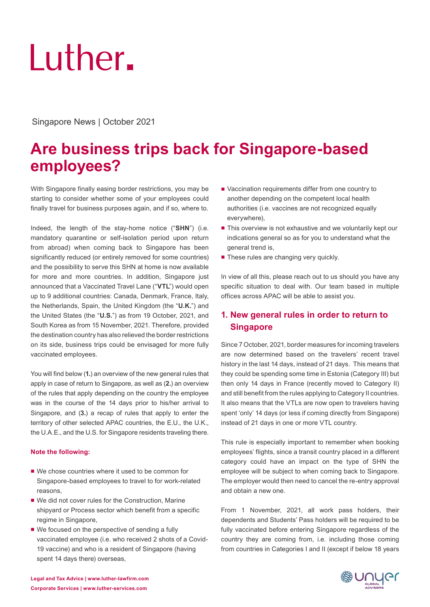# Luther.

# Singapore News | October 2021

# **Are business trips back for Singapore-based employees?**

With Singapore finally easing border restrictions, you may be starting to consider whether some of your employees could finally travel for business purposes again, and if so, where to.

Indeed, the length of the stay-home notice ("**SHN**") (i.e. mandatory quarantine or self-isolation period upon return from abroad) when coming back to Singapore has been significantly reduced (or entirely removed for some countries) and the possibility to serve this SHN at home is now available for more and more countries. In addition, Singapore just announced that a Vaccinated Travel Lane ("**VTL**") would open up to 9 additional countries: Canada, Denmark, France, Italy, the Netherlands, Spain, the United Kingdom (the "**U.K.**") and the United States (the "**U.S.**") as from 19 October, 2021, and South Korea as from 15 November, 2021. Therefore, provided the destination country has also relieved the border restrictions on its side, business trips could be envisaged for more fully vaccinated employees.

You will find below (**1.**) an overview of the new general rules that apply in case of return to Singapore, as well as (**2.**) an overview of the rules that apply depending on the country the employee was in the course of the 14 days prior to his/her arrival to Singapore, and (**3.**) a recap of rules that apply to enter the territory of other selected APAC countries, the E.U., the U.K., the U.A.E., and the U.S. for Singapore residents traveling there.

#### **Note the following:**

- We chose countries where it used to be common for Singapore-based employees to travel to for work-related reasons,
- We did not cover rules for the Construction, Marine shipyard or Process sector which benefit from a specific regime in Singapore,
- We focused on the perspective of sending a fully vaccinated employee (i.e. who received 2 shots of a Covid-19 vaccine) and who is a resident of Singapore (having spent 14 days there) overseas,
- Vaccination requirements differ from one country to another depending on the competent local health authorities (i.e. vaccines are not recognized equally everywhere),
- This overview is not exhaustive and we voluntarily kept our indications general so as for you to understand what the general trend is,
- These rules are changing very quickly.

In view of all this, please reach out to us should you have any specific situation to deal with. Our team based in multiple offices across APAC will be able to assist you.

# **1. New general rules in order to return to Singapore**

Since 7 October, 2021, border measures for incoming travelers are now determined based on the travelers' recent travel history in the last 14 days, instead of 21 days. This means that they could be spending some time in Estonia (Category III) but then only 14 days in France (recently moved to Category II) and still benefit from the rules applying to Category II countries. It also means that the VTLs are now open to travelers having spent 'only' 14 days (or less if coming directly from Singapore) instead of 21 days in one or more VTL country.

This rule is especially important to remember when booking employees' flights, since a transit country placed in a different category could have an impact on the type of SHN the employee will be subject to when coming back to Singapore. The employer would then need to cancel the re-entry approval and obtain a new one.

From 1 November, 2021, all work pass holders, their dependents and Students' Pass holders will be required to be fully vaccinated before entering Singapore regardless of the country they are coming from, i.e. including those coming from countries in Categories I and II (except if below 18 years

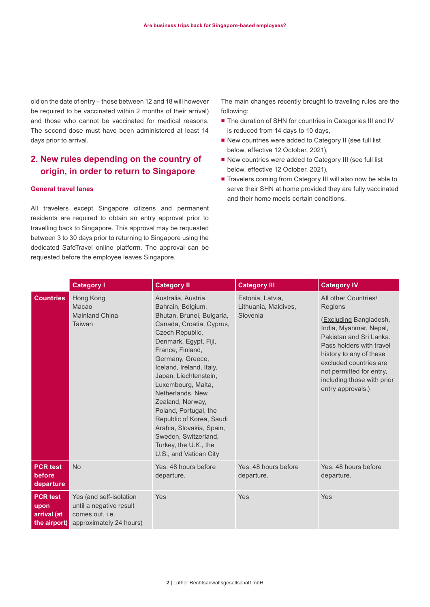old on the date of entry – those between 12 and 18 will however be required to be vaccinated within 2 months of their arrival) and those who cannot be vaccinated for medical reasons. The second dose must have been administered at least 14 days prior to arrival.

# **2. New rules depending on the country of origin, in order to return to Singapore**

#### **General travel lanes**

All travelers except Singapore citizens and permanent residents are required to obtain an entry approval prior to travelling back to Singapore. This approval may be requested between 3 to 30 days prior to returning to Singapore using the dedicated SafeTravel online platform. The approval can be requested before the employee leaves Singapore.

The main changes recently brought to traveling rules are the following:

- The duration of SHN for countries in Categories III and IV is reduced from 14 days to 10 days,
- New countries were added to Category II (see full list below, effective 12 October, 2021),
- New countries were added to Category III (see full list below, effective 12 October, 2021),
- Travelers coming from Category III will also now be able to serve their SHN at home provided they are fully vaccinated and their home meets certain conditions.

|                                                        | <b>Category I</b>                                                                                | <b>Category II</b>                                                                                                                                                                                                                                                                                                                                                                                                                                                   | <b>Category III</b>                                  | <b>Category IV</b>                                                                                                                                                                                                                                                             |
|--------------------------------------------------------|--------------------------------------------------------------------------------------------------|----------------------------------------------------------------------------------------------------------------------------------------------------------------------------------------------------------------------------------------------------------------------------------------------------------------------------------------------------------------------------------------------------------------------------------------------------------------------|------------------------------------------------------|--------------------------------------------------------------------------------------------------------------------------------------------------------------------------------------------------------------------------------------------------------------------------------|
| <b>Countries</b>                                       | Hong Kong<br>Macao<br><b>Mainland China</b><br>Taiwan                                            | Australia, Austria,<br>Bahrain, Belgium,<br>Bhutan, Brunei, Bulgaria,<br>Canada, Croatia, Cyprus,<br>Czech Republic,<br>Denmark, Egypt, Fiji,<br>France, Finland,<br>Germany, Greece,<br>Iceland, Ireland, Italy,<br>Japan, Liechtenstein,<br>Luxembourg, Malta,<br>Netherlands, New<br>Zealand, Norway,<br>Poland, Portugal, the<br>Republic of Korea, Saudi<br>Arabia, Slovakia, Spain,<br>Sweden, Switzerland,<br>Turkey, the U.K., the<br>U.S., and Vatican City | Estonia, Latvia,<br>Lithuania, Maldives,<br>Slovenia | All other Countries/<br>Regions<br>(Excluding Bangladesh,<br>India, Myanmar, Nepal,<br>Pakistan and Sri Lanka.<br>Pass holders with travel<br>history to any of these<br>excluded countries are<br>not permitted for entry,<br>including those with prior<br>entry approvals.) |
| <b>PCR test</b><br>before<br>departure                 | <b>No</b>                                                                                        | Yes, 48 hours before<br>departure.                                                                                                                                                                                                                                                                                                                                                                                                                                   | Yes, 48 hours before<br>departure.                   | Yes, 48 hours before<br>departure.                                                                                                                                                                                                                                             |
| <b>PCR test</b><br>upon<br>arrival (at<br>the airport) | Yes (and self-isolation<br>until a negative result<br>comes out, i.e.<br>approximately 24 hours) | Yes                                                                                                                                                                                                                                                                                                                                                                                                                                                                  | Yes                                                  | Yes                                                                                                                                                                                                                                                                            |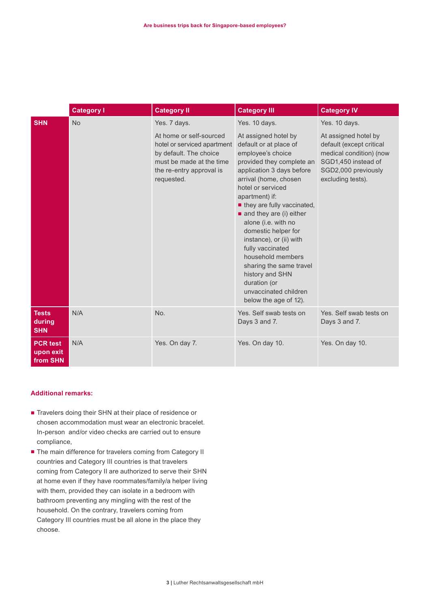|                                          | <b>Category I</b> | <b>Category II</b>                                                                                                                                     | <b>Category III</b>                                                                                                                                                                                                                                                                                                                                                                                                                                                                                     | <b>Category IV</b>                                                                                                                             |
|------------------------------------------|-------------------|--------------------------------------------------------------------------------------------------------------------------------------------------------|---------------------------------------------------------------------------------------------------------------------------------------------------------------------------------------------------------------------------------------------------------------------------------------------------------------------------------------------------------------------------------------------------------------------------------------------------------------------------------------------------------|------------------------------------------------------------------------------------------------------------------------------------------------|
| <b>SHN</b>                               | <b>No</b>         | Yes. 7 days.                                                                                                                                           | Yes. 10 days.                                                                                                                                                                                                                                                                                                                                                                                                                                                                                           | Yes. 10 days.                                                                                                                                  |
|                                          |                   | At home or self-sourced<br>hotel or serviced apartment<br>by default. The choice<br>must be made at the time<br>the re-entry approval is<br>requested. | At assigned hotel by<br>default or at place of<br>employee's choice<br>provided they complete an<br>application 3 days before<br>arrival (home, chosen<br>hotel or serviced<br>apartment) if:<br>they are fully vaccinated,<br>$\blacksquare$ and they are (i) either<br>alone (i.e. with no<br>domestic helper for<br>instance), or (ii) with<br>fully vaccinated<br>household members<br>sharing the same travel<br>history and SHN<br>duration (or<br>unvaccinated children<br>below the age of 12). | At assigned hotel by<br>default (except critical<br>medical condition) (now<br>SGD1,450 instead of<br>SGD2,000 previously<br>excluding tests). |
| <b>Tests</b><br>during<br><b>SHN</b>     | N/A               | No.                                                                                                                                                    | Yes. Self swab tests on<br>Days 3 and 7.                                                                                                                                                                                                                                                                                                                                                                                                                                                                | Yes. Self swab tests on<br>Days 3 and 7.                                                                                                       |
| <b>PCR test</b><br>upon exit<br>from SHN | N/A               | Yes. On day 7.                                                                                                                                         | Yes. On day 10.                                                                                                                                                                                                                                                                                                                                                                                                                                                                                         | Yes. On day 10.                                                                                                                                |

#### **Additional remarks:**

- Travelers doing their SHN at their place of residence or chosen accommodation must wear an electronic bracelet. In-person and/or video checks are carried out to ensure compliance,
- The main difference for travelers coming from Category II countries and Category III countries is that travelers coming from Category II are authorized to serve their SHN at home even if they have roommates/family/a helper living with them, provided they can isolate in a bedroom with bathroom preventing any mingling with the rest of the household. On the contrary, travelers coming from Category III countries must be all alone in the place they choose.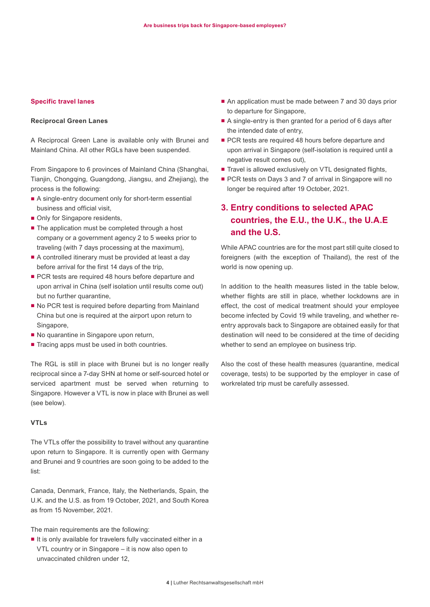#### **Specific travel lanes**

#### **Reciprocal Green Lanes**

A Reciprocal Green Lane is available only with Brunei and Mainland China. All other RGLs have been suspended.

From Singapore to 6 provinces of Mainland China (Shanghai, Tianjin, Chongqing, Guangdong, Jiangsu, and Zhejiang), the process is the following:

- A single-entry document only for short-term essential business and official visit,
- Only for Singapore residents,
- The application must be completed through a host company or a government agency 2 to 5 weeks prior to traveling (with 7 days processing at the maximum),
- A controlled itinerary must be provided at least a day before arrival for the first 14 days of the trip,
- PCR tests are required 48 hours before departure and upon arrival in China (self isolation until results come out) but no further quarantine,
- No PCR test is required before departing from Mainland China but one is required at the airport upon return to Singapore,
- No quarantine in Singapore upon return,
- Tracing apps must be used in both countries.

The RGL is still in place with Brunei but is no longer really reciprocal since a 7-day SHN at home or self-sourced hotel or serviced apartment must be served when returning to Singapore. However a VTL is now in place with Brunei as well (see below).

#### **VTLs**

The VTLs offer the possibility to travel without any quarantine upon return to Singapore. It is currently open with Germany and Brunei and 9 countries are soon going to be added to the list:

Canada, Denmark, France, Italy, the Netherlands, Spain, the U.K. and the U.S. as from 19 October, 2021, and South Korea as from 15 November, 2021.

The main requirements are the following:

■ It is only available for travelers fully vaccinated either in a VTL country or in Singapore – it is now also open to unvaccinated children under 12,

- An application must be made between 7 and 30 days prior to departure for Singapore,
- A single-entry is then granted for a period of 6 days after the intended date of entry,
- PCR tests are required 48 hours before departure and upon arrival in Singapore (self-isolation is required until a negative result comes out),
- Travel is allowed exclusively on VTL designated flights,
- PCR tests on Days 3 and 7 of arrival in Singapore will no longer be required after 19 October, 2021.

# **3. Entry conditions to selected APAC countries, the E.U., the U.K., the U.A.E and the U.S.**

While APAC countries are for the most part still quite closed to foreigners (with the exception of Thailand), the rest of the world is now opening up.

In addition to the health measures listed in the table below, whether flights are still in place, whether lockdowns are in effect, the cost of medical treatment should your employee become infected by Covid 19 while traveling, and whether reentry approvals back to Singapore are obtained easily for that destination will need to be considered at the time of deciding whether to send an employee on business trip.

Also the cost of these health measures (quarantine, medical coverage, tests) to be supported by the employer in case of workrelated trip must be carefully assessed.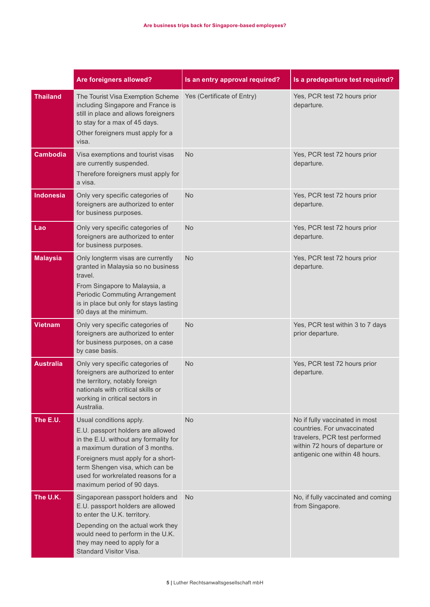|                  | Are foreigners allowed?                                                                                                                                                                                                                                                               | Is an entry approval required? | Is a predeparture test required?                                                                                                                                    |
|------------------|---------------------------------------------------------------------------------------------------------------------------------------------------------------------------------------------------------------------------------------------------------------------------------------|--------------------------------|---------------------------------------------------------------------------------------------------------------------------------------------------------------------|
| <b>Thailand</b>  | The Tourist Visa Exemption Scheme<br>including Singapore and France is<br>still in place and allows foreigners<br>to stay for a max of 45 days.<br>Other foreigners must apply for a<br>visa.                                                                                         | Yes (Certificate of Entry)     | Yes, PCR test 72 hours prior<br>departure.                                                                                                                          |
| <b>Cambodia</b>  | Visa exemptions and tourist visas<br>are currently suspended.<br>Therefore foreigners must apply for<br>a visa.                                                                                                                                                                       | No                             | Yes, PCR test 72 hours prior<br>departure.                                                                                                                          |
| <b>Indonesia</b> | Only very specific categories of<br>foreigners are authorized to enter<br>for business purposes.                                                                                                                                                                                      | <b>No</b>                      | Yes, PCR test 72 hours prior<br>departure.                                                                                                                          |
| Lao              | Only very specific categories of<br>foreigners are authorized to enter<br>for business purposes.                                                                                                                                                                                      | <b>No</b>                      | Yes, PCR test 72 hours prior<br>departure.                                                                                                                          |
| <b>Malaysia</b>  | Only longterm visas are currently<br>granted in Malaysia so no business<br>travel.<br>From Singapore to Malaysia, a<br><b>Periodic Commuting Arrangement</b><br>is in place but only for stays lasting<br>90 days at the minimum.                                                     | <b>No</b>                      | Yes, PCR test 72 hours prior<br>departure.                                                                                                                          |
| <b>Vietnam</b>   | Only very specific categories of<br>foreigners are authorized to enter<br>for business purposes, on a case<br>by case basis.                                                                                                                                                          | <b>No</b>                      | Yes, PCR test within 3 to 7 days<br>prior departure.                                                                                                                |
| <b>Australia</b> | Only very specific categories of<br>foreigners are authorized to enter<br>the territory, notably foreign<br>nationals with critical skills or<br>working in critical sectors in<br>Australia.                                                                                         | <b>No</b>                      | Yes, PCR test 72 hours prior<br>departure.                                                                                                                          |
| The E.U.         | Usual conditions apply.<br>E.U. passport holders are allowed<br>in the E.U. without any formality for<br>a maximum duration of 3 months.<br>Foreigners must apply for a short-<br>term Shengen visa, which can be<br>used for workrelated reasons for a<br>maximum period of 90 days. | <b>No</b>                      | No if fully vaccinated in most<br>countries. For unvaccinated<br>travelers, PCR test performed<br>within 72 hours of departure or<br>antigenic one within 48 hours. |
| The U.K.         | Singaporean passport holders and<br>E.U. passport holders are allowed<br>to enter the U.K. territory.<br>Depending on the actual work they<br>would need to perform in the U.K.<br>they may need to apply for a<br>Standard Visitor Visa.                                             | <b>No</b>                      | No, if fully vaccinated and coming<br>from Singapore.                                                                                                               |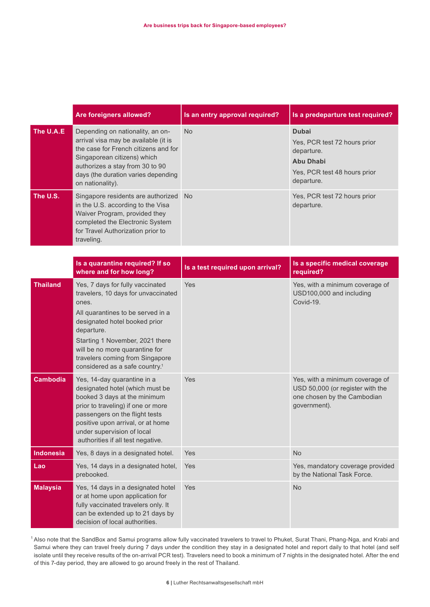|                  | Are foreigners allowed?                                                                                                                                                                                                                                                                                                    | Is an entry approval required?   | Is a predeparture test required?                                                                                             |
|------------------|----------------------------------------------------------------------------------------------------------------------------------------------------------------------------------------------------------------------------------------------------------------------------------------------------------------------------|----------------------------------|------------------------------------------------------------------------------------------------------------------------------|
| The U.A.E        | Depending on nationality, an on-<br>arrival visa may be available (it is<br>the case for French citizens and for<br>Singaporean citizens) which<br>authorizes a stay from 30 to 90<br>days (the duration varies depending<br>on nationality).                                                                              | <b>No</b>                        | <b>Dubai</b><br>Yes, PCR test 72 hours prior<br>departure.<br><b>Abu Dhabi</b><br>Yes, PCR test 48 hours prior<br>departure. |
| The U.S.         | Singapore residents are authorized<br>in the U.S. according to the Visa<br>Waiver Program, provided they<br>completed the Electronic System<br>for Travel Authorization prior to<br>traveling.                                                                                                                             | <b>No</b>                        | Yes, PCR test 72 hours prior<br>departure.                                                                                   |
|                  | Is a quarantine required? If so<br>where and for how long?                                                                                                                                                                                                                                                                 | Is a test required upon arrival? | Is a specific medical coverage<br>required?                                                                                  |
| <b>Thailand</b>  | Yes, 7 days for fully vaccinated<br>travelers, 10 days for unvaccinated<br>ones.<br>All quarantines to be served in a<br>designated hotel booked prior<br>departure.<br>Starting 1 November, 2021 there<br>will be no more quarantine for<br>travelers coming from Singapore<br>considered as a safe country. <sup>1</sup> | Yes                              | Yes, with a minimum coverage of<br>USD100,000 and including<br>Covid-19.                                                     |
| <b>Cambodia</b>  | Yes, 14-day quarantine in a<br>designated hotel (which must be<br>booked 3 days at the minimum<br>prior to traveling) if one or more<br>passengers on the flight tests<br>positive upon arrival, or at home<br>under supervision of local<br>authorities if all test negative.                                             | Yes                              | Yes, with a minimum coverage of<br>USD 50,000 (or register with the<br>one chosen by the Cambodian<br>government).           |
| <b>Indonesia</b> | Yes, 8 days in a designated hotel.                                                                                                                                                                                                                                                                                         | Yes                              | <b>No</b>                                                                                                                    |
| Lao              | Yes, 14 days in a designated hotel,<br>prebooked.                                                                                                                                                                                                                                                                          | Yes                              | Yes, mandatory coverage provided<br>by the National Task Force.                                                              |
| <b>Malaysia</b>  | Yes, 14 days in a designated hotel<br>or at home upon application for<br>fully vaccinated travelers only. It<br>can be extended up to 21 days by<br>decision of local authorities.                                                                                                                                         | Yes                              | No                                                                                                                           |

<sup>1</sup> Also note that the SandBox and Samui programs allow fully vaccinated travelers to travel to Phuket, Surat Thani, Phang-Nga, and Krabi and Samui where they can travel freely during 7 days under the condition they stay in a designated hotel and report daily to that hotel (and self isolate until they receive results of the on-arrival PCR test). Travelers need to book a minimum of 7 nights in the designated hotel. After the end of this 7-day period, they are allowed to go around freely in the rest of Thailand.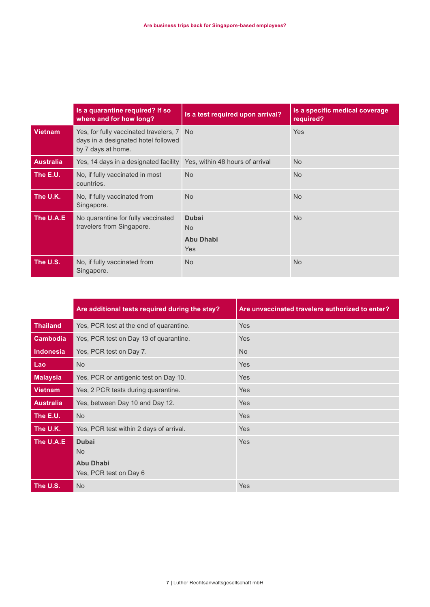|                  | Is a quarantine required? If so<br>where and for how long?                                             | Is a test required upon arrival?                                 | Is a specific medical coverage<br>required? |
|------------------|--------------------------------------------------------------------------------------------------------|------------------------------------------------------------------|---------------------------------------------|
| <b>Vietnam</b>   | Yes, for fully vaccinated travelers, 7 No<br>days in a designated hotel followed<br>by 7 days at home. |                                                                  | Yes                                         |
| <b>Australia</b> | Yes, 14 days in a designated facility  Yes, within 48 hours of arrival                                 |                                                                  | <b>No</b>                                   |
| The E.U.         | No, if fully vaccinated in most<br>countries.                                                          | <b>No</b>                                                        | <b>No</b>                                   |
| The U.K.         | No, if fully vaccinated from<br>Singapore.                                                             | <b>No</b>                                                        | <b>No</b>                                   |
| The U.A.E        | No quarantine for fully vaccinated<br>travelers from Singapore.                                        | <b>Dubai</b><br>N <sub>o</sub><br><b>Abu Dhabi</b><br><b>Yes</b> | <b>No</b>                                   |
| The U.S.         | No, if fully vaccinated from<br>Singapore.                                                             | <b>No</b>                                                        | <b>No</b>                                   |

|                  | Are additional tests required during the stay?                          | Are unvaccinated travelers authorized to enter? |
|------------------|-------------------------------------------------------------------------|-------------------------------------------------|
| <b>Thailand</b>  | Yes, PCR test at the end of quarantine.                                 | <b>Yes</b>                                      |
| Cambodia         | Yes, PCR test on Day 13 of quarantine.                                  | <b>Yes</b>                                      |
| Indonesia        | Yes, PCR test on Day 7.                                                 | <b>No</b>                                       |
| Lao              | <b>No</b>                                                               | Yes                                             |
| <b>Malaysia</b>  | Yes, PCR or antigenic test on Day 10.                                   | <b>Yes</b>                                      |
| Vietnam          | Yes, 2 PCR tests during quarantine.                                     | <b>Yes</b>                                      |
| <b>Australia</b> | Yes, between Day 10 and Day 12.                                         | <b>Yes</b>                                      |
| The E.U.         | <b>No</b>                                                               | <b>Yes</b>                                      |
| The U.K.         | Yes, PCR test within 2 days of arrival.                                 | <b>Yes</b>                                      |
| The U.A.E        | <b>Dubai</b><br><b>No</b><br><b>Abu Dhabi</b><br>Yes, PCR test on Day 6 | Yes                                             |
| The U.S.         | <b>No</b>                                                               | Yes                                             |